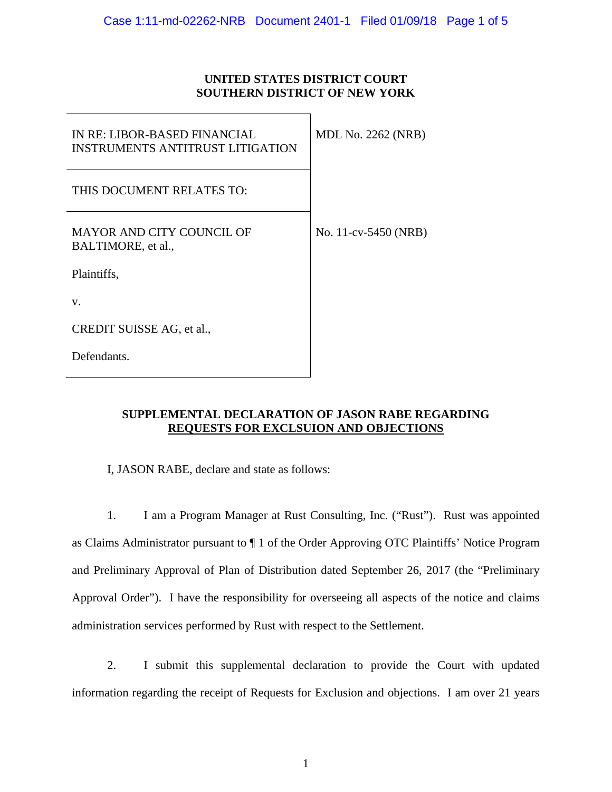#### **UNITED STATES DISTRICT COURT SOUTHERN DISTRICT OF NEW YORK**

| IN RE: LIBOR-BASED FINANCIAL<br><b>INSTRUMENTS ANTITRUST LITIGATION</b> | <b>MDL No. 2262 (NRB)</b> |
|-------------------------------------------------------------------------|---------------------------|
| THIS DOCUMENT RELATES TO:                                               |                           |
| <b>MAYOR AND CITY COUNCIL OF</b><br>BALTIMORE, et al.,                  | No. 11-cv-5450 (NRB)      |
| Plaintiffs,                                                             |                           |
| V.                                                                      |                           |
| CREDIT SUISSE AG, et al.,                                               |                           |
| Defendants.                                                             |                           |

#### **SUPPLEMENTAL DECLARATION OF JASON RABE REGARDING REQUESTS FOR EXCLSUION AND OBJECTIONS**

I, JASON RABE, declare and state as follows:

1. I am a Program Manager at Rust Consulting, Inc. ("Rust"). Rust was appointed as Claims Administrator pursuant to ¶ 1 of the Order Approving OTC Plaintiffs' Notice Program and Preliminary Approval of Plan of Distribution dated September 26, 2017 (the "Preliminary Approval Order"). I have the responsibility for overseeing all aspects of the notice and claims administration services performed by Rust with respect to the Settlement.

2. I submit this supplemental declaration to provide the Court with updated information regarding the receipt of Requests for Exclusion and objections. I am over 21 years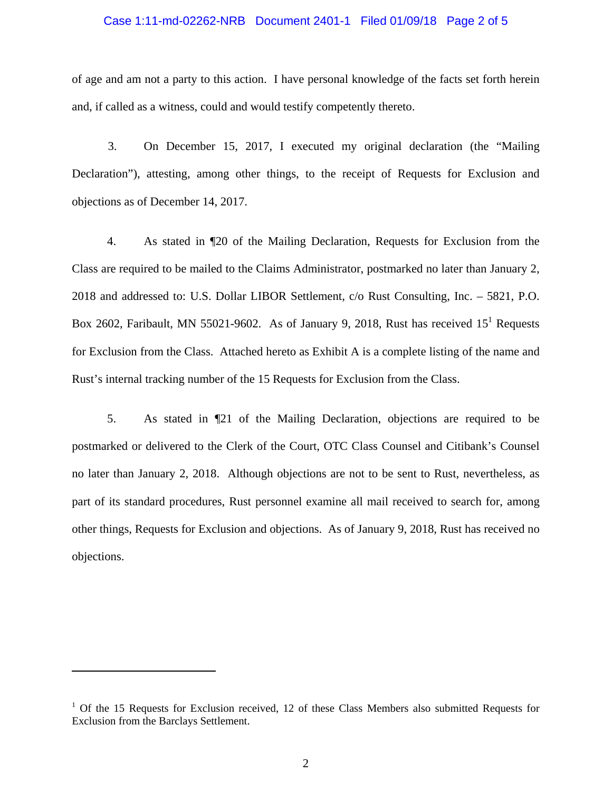#### Case 1:11-md-02262-NRB Document 2401-1 Filed 01/09/18 Page 2 of 5

of age and am not a party to this action. I have personal knowledge of the facts set forth herein and, if called as a witness, could and would testify competently thereto.

3. On December 15, 2017, I executed my original declaration (the "Mailing Declaration"), attesting, among other things, to the receipt of Requests for Exclusion and objections as of December 14, 2017.

4. As stated in ¶20 of the Mailing Declaration, Requests for Exclusion from the Class are required to be mailed to the Claims Administrator, postmarked no later than January 2, 2018 and addressed to: U.S. Dollar LIBOR Settlement, c/o Rust Consulting, Inc. – 5821, P.O. Box 2602, Faribault, MN 55021-9602. As of January 9, 2018, Rust has received  $15^1$  Requests for Exclusion from the Class. Attached hereto as Exhibit A is a complete listing of the name and Rust's internal tracking number of the 15 Requests for Exclusion from the Class.

5. As stated in ¶21 of the Mailing Declaration, objections are required to be postmarked or delivered to the Clerk of the Court, OTC Class Counsel and Citibank's Counsel no later than January 2, 2018. Although objections are not to be sent to Rust, nevertheless, as part of its standard procedures, Rust personnel examine all mail received to search for, among other things, Requests for Exclusion and objections. As of January 9, 2018, Rust has received no objections.

<sup>&</sup>lt;sup>1</sup> Of the 15 Requests for Exclusion received, 12 of these Class Members also submitted Requests for Exclusion from the Barclays Settlement.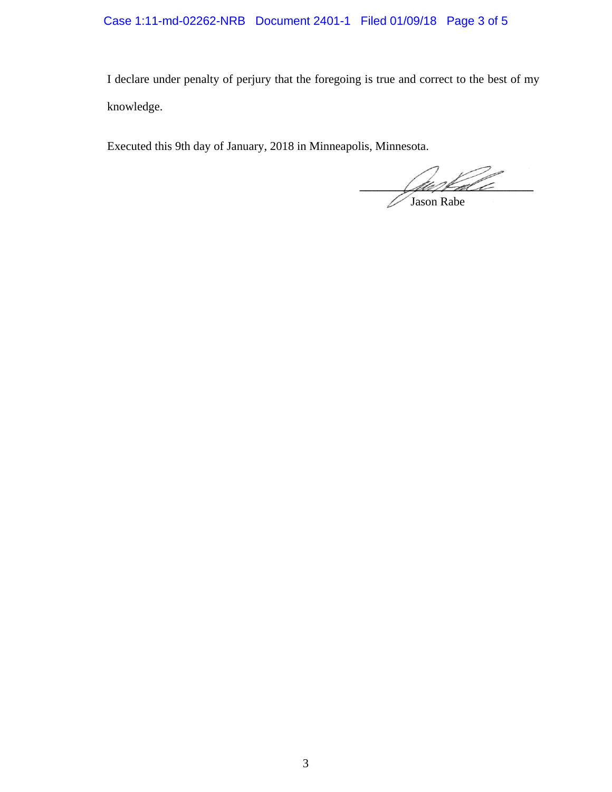### Case 1:11-md-02262-NRB Document 2401-1 Filed 01/09/18 Page 3 of 5

I declare under penalty of perjury that the foregoing is true and correct to the best of my knowledge.

Executed this 9th day of January, 2018 in Minneapolis, Minnesota.

alle Hall Jason Rabe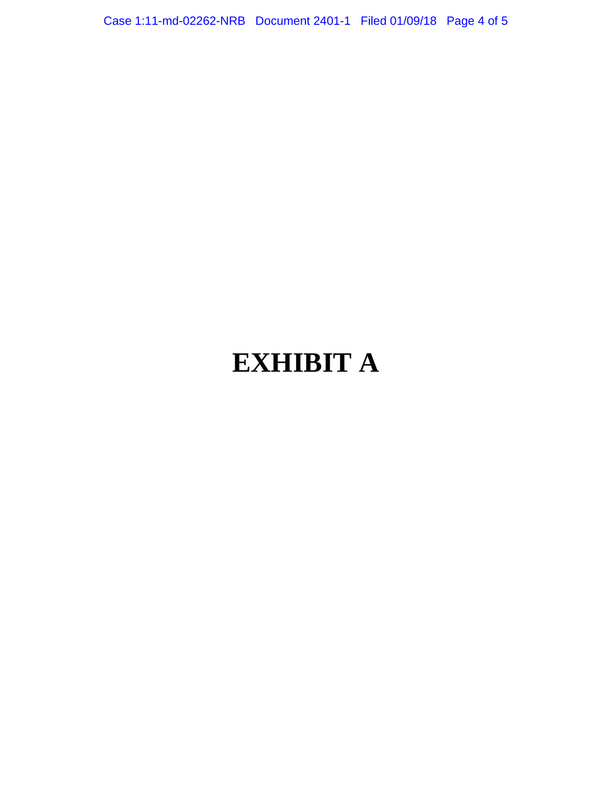Case 1:11-md-02262-NRB Document 2401-1 Filed 01/09/18 Page 4 of 5

# **EXHIBIT A**